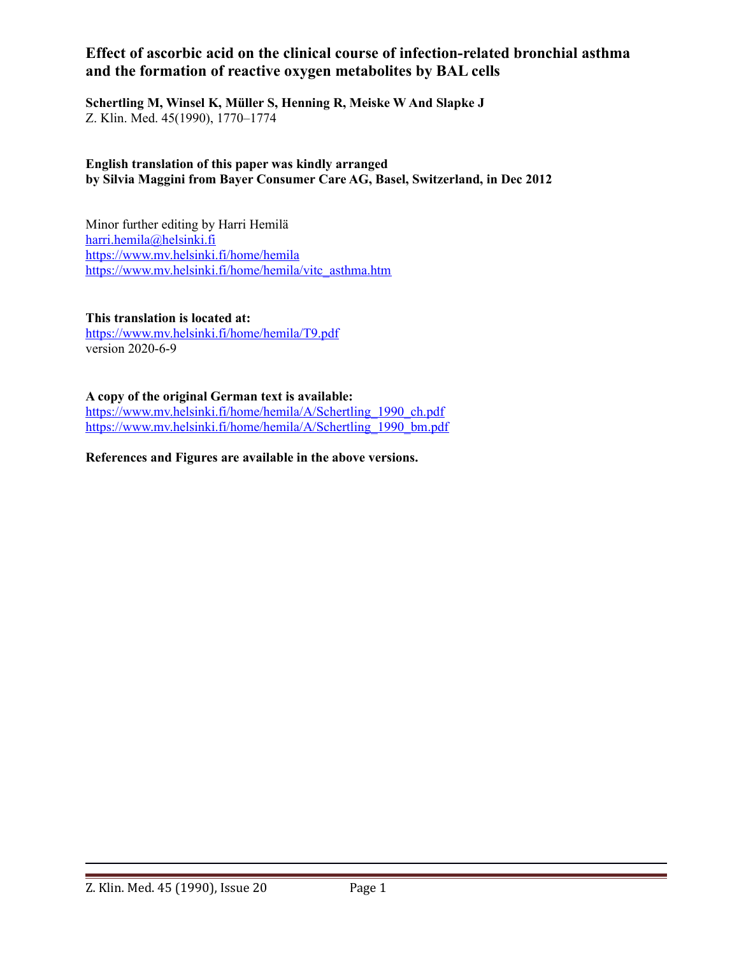# **Effect of ascorbic acid on the clinical course of infection-related bronchial asthma and the formation of reactive oxygen metabolites by BAL cells**

**Schertling M, Winsel K, Müller S, Henning R, Meiske W And Slapke J** Z. Klin. Med. 45(1990), 1770–1774

**English translation of this paper was kindly arranged by Silvia Maggini from Bayer Consumer Care AG, Basel, Switzerland, in Dec 2012**

Minor further editing by Harri Hemilä [harri.hemila@helsinki.fi](mailto:harri.hemila@helsinki.fi)  <https://www.mv.helsinki.fi/home/hemila> [https://www.mv.helsinki.fi/home/hemila/vitc\\_asthma.htm](https://www.mv.helsinki.fi/home/hemila/vitc_asthma.htm)

**This translation is located at:** <https://www.mv.helsinki.fi/home/hemila/T9.pdf> version 2020-6-9

**A copy of the original German text is available:**

[https://www.mv.helsinki.fi/home/hemila/A/Schertling\\_1990\\_ch.pdf](https://www.mv.helsinki.fi/home/hemila/A/Schertling_1990_ch.pdf) [https://www.mv.helsinki.fi/home/hemila/A/Schertling\\_1990\\_bm.pdf](https://www.mv.helsinki.fi/home/hemila/A/Schertling_1990_bm.pdf)

**References and Figures are available in the above versions.**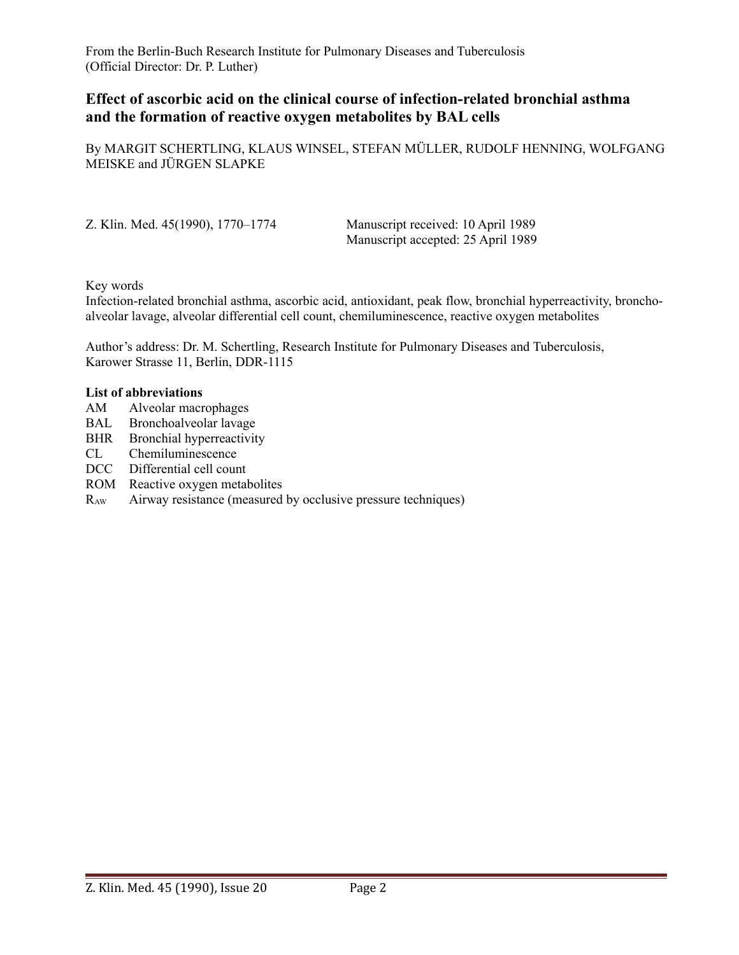From the Berlin-Buch Research Institute for Pulmonary Diseases and Tuberculosis (Official Director: Dr. P. Luther)

## **Effect of ascorbic acid on the clinical course of infection-related bronchial asthma and the formation of reactive oxygen metabolites by BAL cells**

By MARGIT SCHERTLING, KLAUS WINSEL, STEFAN MÜLLER, RUDOLF HENNING, WOLFGANG MEISKE and JÜRGEN SLAPKE

| Z. Klin. Med. 45(1990), 1770–1774 | Manuscript received: 10 April 1989 |
|-----------------------------------|------------------------------------|
|                                   | Manuscript accepted: 25 April 1989 |

Key words

Infection-related bronchial asthma, ascorbic acid, antioxidant, peak flow, bronchial hyperreactivity, bronchoalveolar lavage, alveolar differential cell count, chemiluminescence, reactive oxygen metabolites

Author's address: Dr. M. Schertling, Research Institute for Pulmonary Diseases and Tuberculosis, Karower Strasse 11, Berlin, DDR-1115

#### **List of abbreviations**

- AM Alveolar macrophages
- BAL Bronchoalveolar lavage
- BHR Bronchial hyperreactivity
- CL Chemiluminescence
- DCC Differential cell count
- ROM Reactive oxygen metabolites
- $R_{AW}$  Airway resistance (measured by occlusive pressure techniques)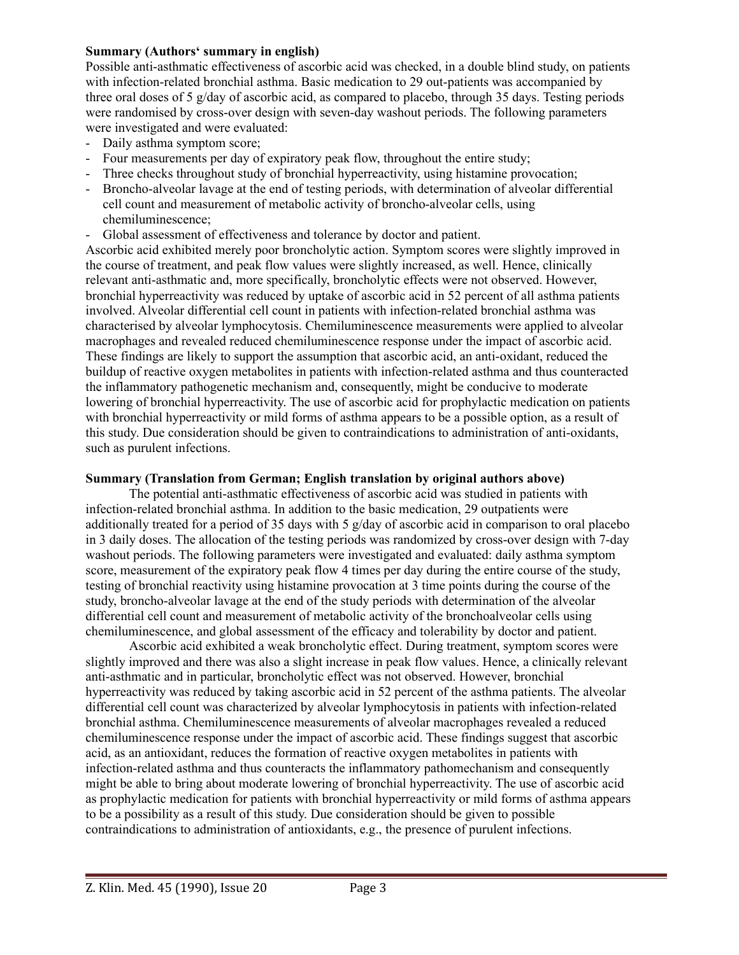#### **Summary (Authors' summary in english)**

Possible anti-asthmatic effectiveness of ascorbic acid was checked, in a double blind study, on patients with infection-related bronchial asthma. Basic medication to 29 out-patients was accompanied by three oral doses of 5 g/day of ascorbic acid, as compared to placebo, through 35 days. Testing periods were randomised by cross-over design with seven-day washout periods. The following parameters were investigated and were evaluated:

- Daily asthma symptom score;
- Four measurements per day of expiratory peak flow, throughout the entire study;
- Three checks throughout study of bronchial hyperreactivity, using histamine provocation;
- Broncho-alveolar lavage at the end of testing periods, with determination of alveolar differential cell count and measurement of metabolic activity of broncho-alveolar cells, using chemiluminescence;
- Global assessment of effectiveness and tolerance by doctor and patient.

Ascorbic acid exhibited merely poor broncholytic action. Symptom scores were slightly improved in the course of treatment, and peak flow values were slightly increased, as well. Hence, clinically relevant anti-asthmatic and, more specifically, broncholytic effects were not observed. However, bronchial hyperreactivity was reduced by uptake of ascorbic acid in 52 percent of all asthma patients involved. Alveolar differential cell count in patients with infection-related bronchial asthma was characterised by alveolar lymphocytosis. Chemiluminescence measurements were applied to alveolar macrophages and revealed reduced chemiluminescence response under the impact of ascorbic acid. These findings are likely to support the assumption that ascorbic acid, an anti-oxidant, reduced the buildup of reactive oxygen metabolites in patients with infection-related asthma and thus counteracted the inflammatory pathogenetic mechanism and, consequently, might be conducive to moderate lowering of bronchial hyperreactivity. The use of ascorbic acid for prophylactic medication on patients with bronchial hyperreactivity or mild forms of asthma appears to be a possible option, as a result of this study. Due consideration should be given to contraindications to administration of anti-oxidants, such as purulent infections.

#### **Summary (Translation from German; English translation by original authors above)**

The potential anti-asthmatic effectiveness of ascorbic acid was studied in patients with infection-related bronchial asthma. In addition to the basic medication, 29 outpatients were additionally treated for a period of 35 days with 5 g/day of ascorbic acid in comparison to oral placebo in 3 daily doses. The allocation of the testing periods was randomized by cross-over design with 7-day washout periods. The following parameters were investigated and evaluated: daily asthma symptom score, measurement of the expiratory peak flow 4 times per day during the entire course of the study, testing of bronchial reactivity using histamine provocation at 3 time points during the course of the study, broncho-alveolar lavage at the end of the study periods with determination of the alveolar differential cell count and measurement of metabolic activity of the bronchoalveolar cells using chemiluminescence, and global assessment of the efficacy and tolerability by doctor and patient.

Ascorbic acid exhibited a weak broncholytic effect. During treatment, symptom scores were slightly improved and there was also a slight increase in peak flow values. Hence, a clinically relevant anti-asthmatic and in particular, broncholytic effect was not observed. However, bronchial hyperreactivity was reduced by taking ascorbic acid in 52 percent of the asthma patients. The alveolar differential cell count was characterized by alveolar lymphocytosis in patients with infection-related bronchial asthma. Chemiluminescence measurements of alveolar macrophages revealed a reduced chemiluminescence response under the impact of ascorbic acid. These findings suggest that ascorbic acid, as an antioxidant, reduces the formation of reactive oxygen metabolites in patients with infection-related asthma and thus counteracts the inflammatory pathomechanism and consequently might be able to bring about moderate lowering of bronchial hyperreactivity. The use of ascorbic acid as prophylactic medication for patients with bronchial hyperreactivity or mild forms of asthma appears to be a possibility as a result of this study. Due consideration should be given to possible contraindications to administration of antioxidants, e.g., the presence of purulent infections.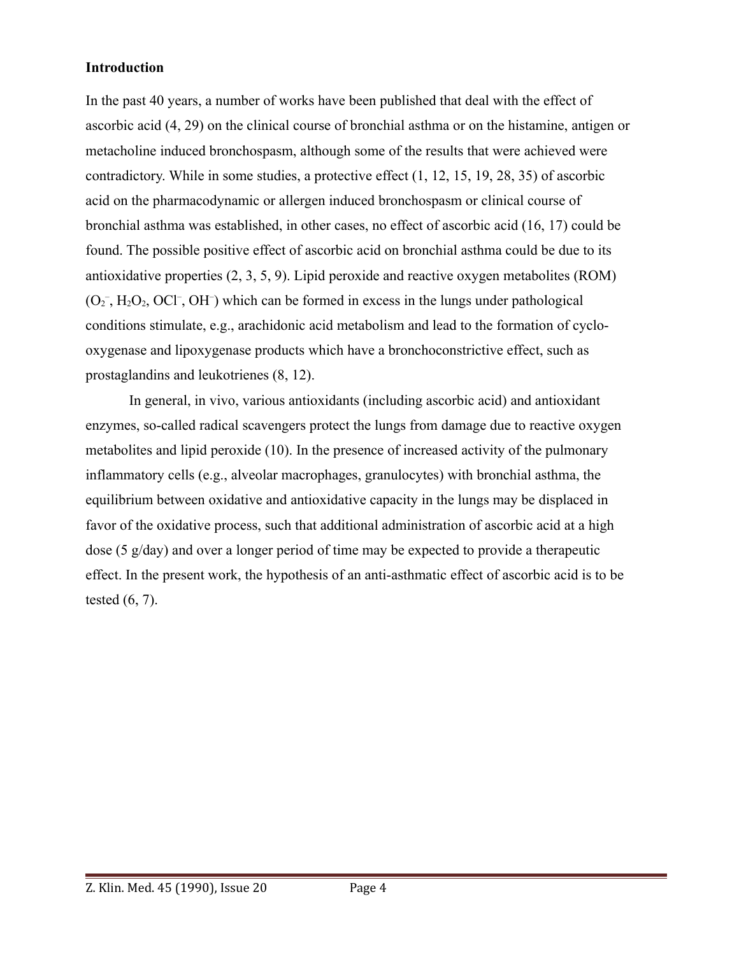#### **Introduction**

In the past 40 years, a number of works have been published that deal with the effect of ascorbic acid (4, 29) on the clinical course of bronchial asthma or on the histamine, antigen or metacholine induced bronchospasm, although some of the results that were achieved were contradictory. While in some studies, a protective effect (1, 12, 15, 19, 28, 35) of ascorbic acid on the pharmacodynamic or allergen induced bronchospasm or clinical course of bronchial asthma was established, in other cases, no effect of ascorbic acid (16, 17) could be found. The possible positive effect of ascorbic acid on bronchial asthma could be due to its antioxidative properties (2, 3, 5, 9). Lipid peroxide and reactive oxygen metabolites (ROM)  $(O_2^-, H_2O_2, OCl^-, OH^-)$  which can be formed in excess in the lungs under pathological conditions stimulate, e.g., arachidonic acid metabolism and lead to the formation of cyclooxygenase and lipoxygenase products which have a bronchoconstrictive effect, such as prostaglandins and leukotrienes (8, 12).

In general, in vivo, various antioxidants (including ascorbic acid) and antioxidant enzymes, so-called radical scavengers protect the lungs from damage due to reactive oxygen metabolites and lipid peroxide (10). In the presence of increased activity of the pulmonary inflammatory cells (e.g., alveolar macrophages, granulocytes) with bronchial asthma, the equilibrium between oxidative and antioxidative capacity in the lungs may be displaced in favor of the oxidative process, such that additional administration of ascorbic acid at a high dose (5 g/day) and over a longer period of time may be expected to provide a therapeutic effect. In the present work, the hypothesis of an anti-asthmatic effect of ascorbic acid is to be tested (6, 7).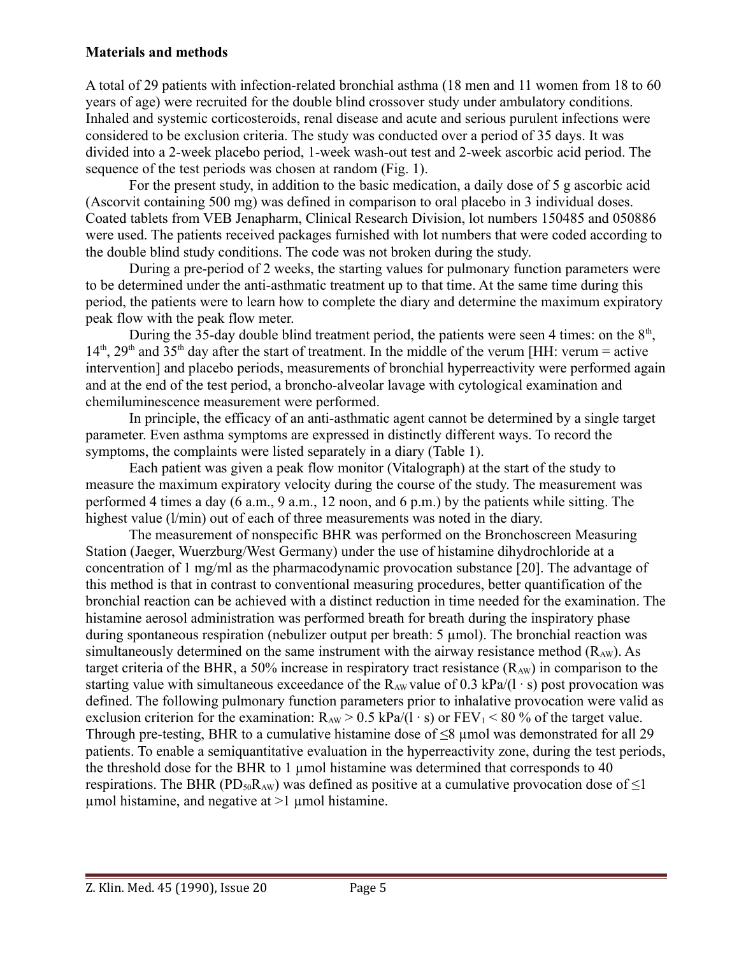## **Materials and methods**

A total of 29 patients with infection-related bronchial asthma (18 men and 11 women from 18 to 60 years of age) were recruited for the double blind crossover study under ambulatory conditions. Inhaled and systemic corticosteroids, renal disease and acute and serious purulent infections were considered to be exclusion criteria. The study was conducted over a period of 35 days. It was divided into a 2-week placebo period, 1-week wash-out test and 2-week ascorbic acid period. The sequence of the test periods was chosen at random (Fig. 1).

For the present study, in addition to the basic medication, a daily dose of 5 g ascorbic acid (Ascorvit containing 500 mg) was defined in comparison to oral placebo in 3 individual doses. Coated tablets from VEB Jenapharm, Clinical Research Division, lot numbers 150485 and 050886 were used. The patients received packages furnished with lot numbers that were coded according to the double blind study conditions. The code was not broken during the study.

During a pre-period of 2 weeks, the starting values for pulmonary function parameters were to be determined under the anti-asthmatic treatment up to that time. At the same time during this period, the patients were to learn how to complete the diary and determine the maximum expiratory peak flow with the peak flow meter.

During the 35-day double blind treatment period, the patients were seen 4 times: on the  $8<sup>th</sup>$ ,  $14<sup>th</sup>$ ,  $29<sup>th</sup>$  and  $35<sup>th</sup>$  day after the start of treatment. In the middle of the verum [HH: verum = active intervention] and placebo periods, measurements of bronchial hyperreactivity were performed again and at the end of the test period, a broncho-alveolar lavage with cytological examination and chemiluminescence measurement were performed.

In principle, the efficacy of an anti-asthmatic agent cannot be determined by a single target parameter. Even asthma symptoms are expressed in distinctly different ways. To record the symptoms, the complaints were listed separately in a diary (Table 1).

Each patient was given a peak flow monitor (Vitalograph) at the start of the study to measure the maximum expiratory velocity during the course of the study. The measurement was performed 4 times a day (6 a.m., 9 a.m., 12 noon, and 6 p.m.) by the patients while sitting. The highest value (l/min) out of each of three measurements was noted in the diary.

The measurement of nonspecific BHR was performed on the Bronchoscreen Measuring Station (Jaeger, Wuerzburg/West Germany) under the use of histamine dihydrochloride at a concentration of 1 mg/ml as the pharmacodynamic provocation substance [20]. The advantage of this method is that in contrast to conventional measuring procedures, better quantification of the bronchial reaction can be achieved with a distinct reduction in time needed for the examination. The histamine aerosol administration was performed breath for breath during the inspiratory phase during spontaneous respiration (nebulizer output per breath: 5 µmol). The bronchial reaction was simultaneously determined on the same instrument with the airway resistance method  $(R_{AW})$ . As target criteria of the BHR, a 50% increase in respiratory tract resistance  $(R_{AW})$  in comparison to the starting value with simultaneous exceedance of the  $R_{AW}$  value of 0.3 kPa/(l ⋅ s) post provocation was defined. The following pulmonary function parameters prior to inhalative provocation were valid as exclusion criterion for the examination:  $R_{AW} > 0.5$  kPa/(1 ⋅ s) or FEV<sub>1</sub> < 80 % of the target value. Through pre-testing, BHR to a cumulative histamine dose of  $\leq 8$  µmol was demonstrated for all 29 patients. To enable a semiquantitative evaluation in the hyperreactivity zone, during the test periods, the threshold dose for the BHR to 1  $\mu$ mol histamine was determined that corresponds to 40 respirations. The BHR (PD<sub>50</sub>R<sub>AW</sub>) was defined as positive at a cumulative provocation dose of  $\leq$ 1  $\mu$ mol histamine, and negative at  $>1$   $\mu$ mol histamine.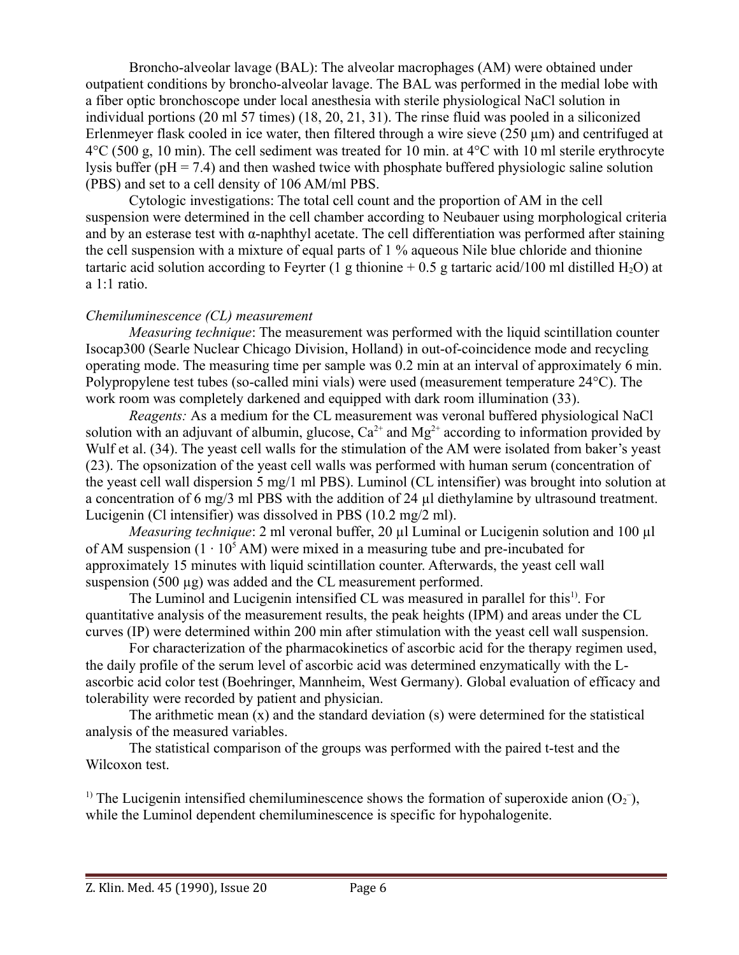Broncho-alveolar lavage (BAL): The alveolar macrophages (AM) were obtained under outpatient conditions by broncho-alveolar lavage. The BAL was performed in the medial lobe with a fiber optic bronchoscope under local anesthesia with sterile physiological NaCl solution in individual portions (20 ml 57 times) (18, 20, 21, 31). The rinse fluid was pooled in a siliconized Erlenmeyer flask cooled in ice water, then filtered through a wire sieve (250 µm) and centrifuged at  $4^{\circ}$ C (500 g, 10 min). The cell sediment was treated for 10 min. at  $4^{\circ}$ C with 10 ml sterile erythrocyte lysis buffer ( $pH = 7.4$ ) and then washed twice with phosphate buffered physiologic saline solution (PBS) and set to a cell density of 106 AM/ml PBS.

Cytologic investigations: The total cell count and the proportion of AM in the cell suspension were determined in the cell chamber according to Neubauer using morphological criteria and by an esterase test with α-naphthyl acetate. The cell differentiation was performed after staining the cell suspension with a mixture of equal parts of 1 % aqueous Nile blue chloride and thionine tartaric acid solution according to Feyrter (1 g thionine  $+ 0.5$  g tartaric acid/100 ml distilled H<sub>2</sub>O) at a 1:1 ratio.

#### *Chemiluminescence (CL) measurement*

*Measuring technique*: The measurement was performed with the liquid scintillation counter Isocap300 (Searle Nuclear Chicago Division, Holland) in out-of-coincidence mode and recycling operating mode. The measuring time per sample was 0.2 min at an interval of approximately 6 min. Polypropylene test tubes (so-called mini vials) were used (measurement temperature 24°C). The work room was completely darkened and equipped with dark room illumination (33).

*Reagents:* As a medium for the CL measurement was veronal buffered physiological NaCl solution with an adjuvant of albumin, glucose,  $Ca^{2+}$  and  $Mg^{2+}$  according to information provided by Wulf et al. (34). The yeast cell walls for the stimulation of the AM were isolated from baker's yeast (23). The opsonization of the yeast cell walls was performed with human serum (concentration of the yeast cell wall dispersion 5 mg/1 ml PBS). Luminol (CL intensifier) was brought into solution at a concentration of 6 mg/3 ml PBS with the addition of 24 µl diethylamine by ultrasound treatment. Lucigenin (Cl intensifier) was dissolved in PBS (10.2 mg/2 ml).

*Measuring technique*: 2 ml veronal buffer, 20 µl Luminal or Lucigenin solution and 100 µl of AM suspension  $(1 \cdot 10^5 \text{ AM})$  were mixed in a measuring tube and pre-incubated for approximately 15 minutes with liquid scintillation counter. Afterwards, the yeast cell wall suspension  $(500 \mu g)$  was added and the CL measurement performed.

The Luminol and Lucigenin intensified CL was measured in parallel for this<sup>1)</sup>. For quantitative analysis of the measurement results, the peak heights (IPM) and areas under the CL curves (IP) were determined within 200 min after stimulation with the yeast cell wall suspension.

For characterization of the pharmacokinetics of ascorbic acid for the therapy regimen used, the daily profile of the serum level of ascorbic acid was determined enzymatically with the Lascorbic acid color test (Boehringer, Mannheim, West Germany). Global evaluation of efficacy and tolerability were recorded by patient and physician.

The arithmetic mean  $(x)$  and the standard deviation  $(s)$  were determined for the statistical analysis of the measured variables.

The statistical comparison of the groups was performed with the paired t-test and the Wilcoxon test.

<sup>1)</sup> The Lucigenin intensified chemiluminescence shows the formation of superoxide anion  $(O_2^-)$ , while the Luminol dependent chemiluminescence is specific for hypohalogenite.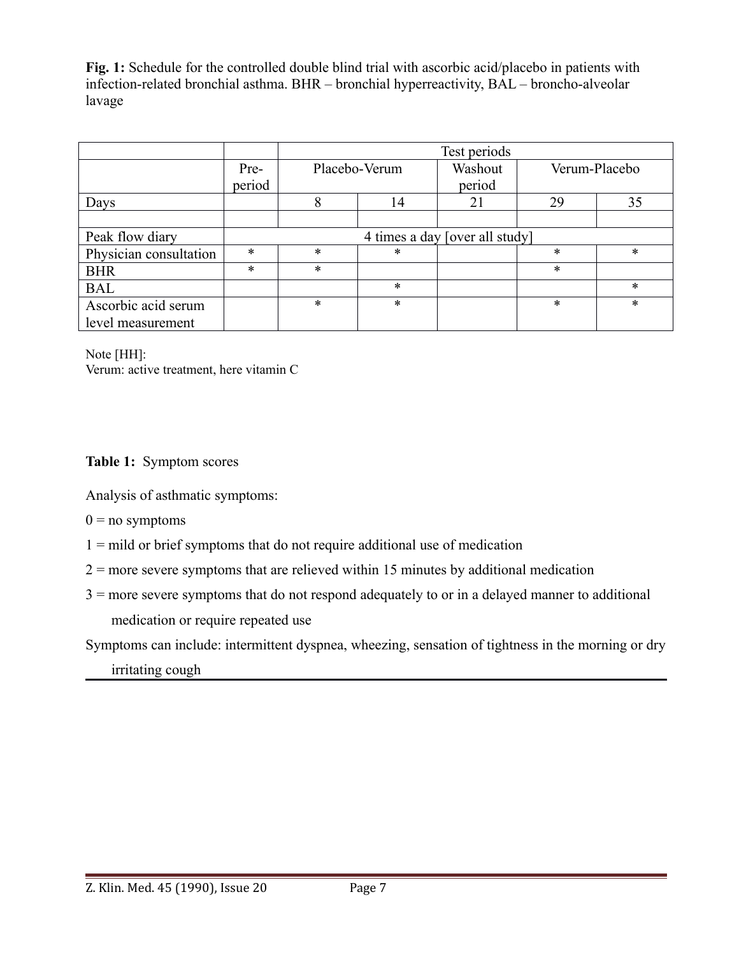**Fig. 1:** Schedule for the controlled double blind trial with ascorbic acid/placebo in patients with infection-related bronchial asthma. BHR – bronchial hyperreactivity, BAL – broncho-alveolar lavage

|                        |                                | Test periods  |        |         |               |        |
|------------------------|--------------------------------|---------------|--------|---------|---------------|--------|
|                        | Pre-                           | Placebo-Verum |        | Washout | Verum-Placebo |        |
|                        | period                         |               |        | period  |               |        |
| Days                   |                                | 8             | 14     | 21      | 29            | 35     |
|                        |                                |               |        |         |               |        |
| Peak flow diary        | 4 times a day [over all study] |               |        |         |               |        |
| Physician consultation | $\ast$                         | $\ast$        | *      |         | *             | $\ast$ |
| <b>BHR</b>             | $\ast$                         | $\ast$        |        |         | $\ast$        |        |
| <b>BAL</b>             |                                |               | $\ast$ |         |               | *      |
| Ascorbic acid serum    |                                | $\ast$        | $\ast$ |         | *             | *      |
| level measurement      |                                |               |        |         |               |        |

Note [HH]: Verum: active treatment, here vitamin C

# **Table 1:** Symptom scores

Analysis of asthmatic symptoms:

- $0 =$  no symptoms
- $1 =$  mild or brief symptoms that do not require additional use of medication
- $2 =$  more severe symptoms that are relieved within 15 minutes by additional medication
- 3 = more severe symptoms that do not respond adequately to or in a delayed manner to additional medication or require repeated use

Symptoms can include: intermittent dyspnea, wheezing, sensation of tightness in the morning or dry

irritating cough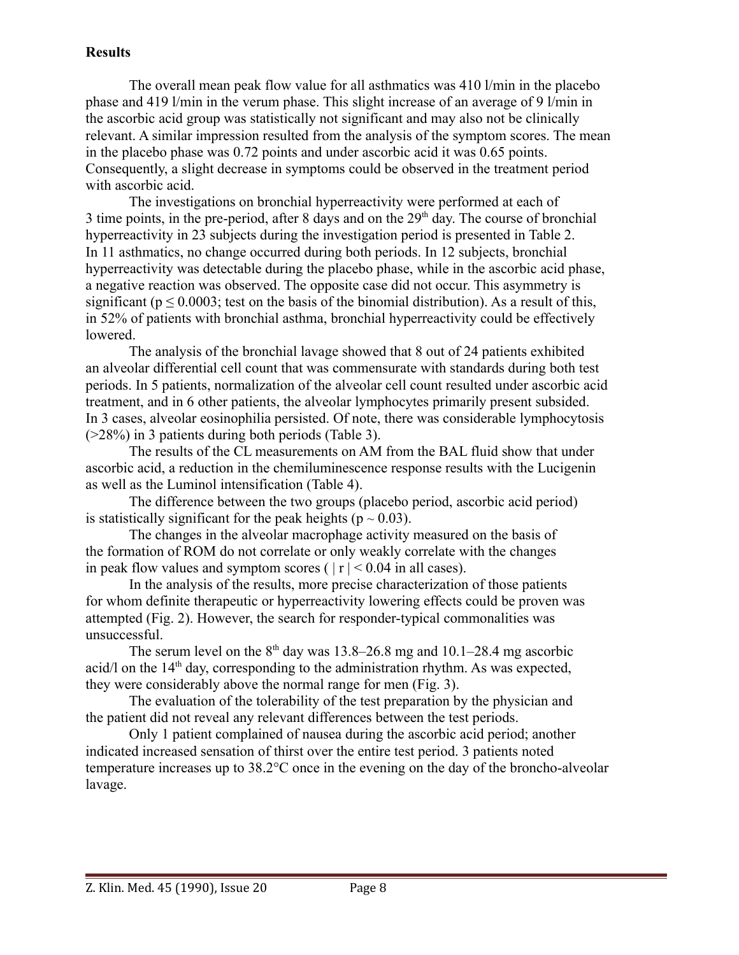## **Results**

The overall mean peak flow value for all asthmatics was 410 l/min in the placebo phase and 419 l/min in the verum phase. This slight increase of an average of 9 l/min in the ascorbic acid group was statistically not significant and may also not be clinically relevant. A similar impression resulted from the analysis of the symptom scores. The mean in the placebo phase was 0.72 points and under ascorbic acid it was 0.65 points. Consequently, a slight decrease in symptoms could be observed in the treatment period with ascorbic acid.

The investigations on bronchial hyperreactivity were performed at each of 3 time points, in the pre-period, after 8 days and on the  $29<sup>th</sup>$  day. The course of bronchial hyperreactivity in 23 subjects during the investigation period is presented in Table 2. In 11 asthmatics, no change occurred during both periods. In 12 subjects, bronchial hyperreactivity was detectable during the placebo phase, while in the ascorbic acid phase, a negative reaction was observed. The opposite case did not occur. This asymmetry is significant ( $p \le 0.0003$ ; test on the basis of the binomial distribution). As a result of this, in 52% of patients with bronchial asthma, bronchial hyperreactivity could be effectively lowered.

The analysis of the bronchial lavage showed that 8 out of 24 patients exhibited an alveolar differential cell count that was commensurate with standards during both test periods. In 5 patients, normalization of the alveolar cell count resulted under ascorbic acid treatment, and in 6 other patients, the alveolar lymphocytes primarily present subsided. In 3 cases, alveolar eosinophilia persisted. Of note, there was considerable lymphocytosis (>28%) in 3 patients during both periods (Table 3).

The results of the CL measurements on AM from the BAL fluid show that under ascorbic acid, a reduction in the chemiluminescence response results with the Lucigenin as well as the Luminol intensification (Table 4).

The difference between the two groups (placebo period, ascorbic acid period) is statistically significant for the peak heights ( $p \sim 0.03$ ).

The changes in the alveolar macrophage activity measured on the basis of the formation of ROM do not correlate or only weakly correlate with the changes in peak flow values and symptom scores ( $|r| < 0.04$  in all cases).

In the analysis of the results, more precise characterization of those patients for whom definite therapeutic or hyperreactivity lowering effects could be proven was attempted (Fig. 2). However, the search for responder-typical commonalities was unsuccessful.

The serum level on the  $8<sup>th</sup>$  day was 13.8–26.8 mg and 10.1–28.4 mg ascorbic acid/l on the  $14<sup>th</sup>$  day, corresponding to the administration rhythm. As was expected, they were considerably above the normal range for men (Fig. 3).

The evaluation of the tolerability of the test preparation by the physician and the patient did not reveal any relevant differences between the test periods.

Only 1 patient complained of nausea during the ascorbic acid period; another indicated increased sensation of thirst over the entire test period. 3 patients noted temperature increases up to 38.2°C once in the evening on the day of the broncho-alveolar lavage.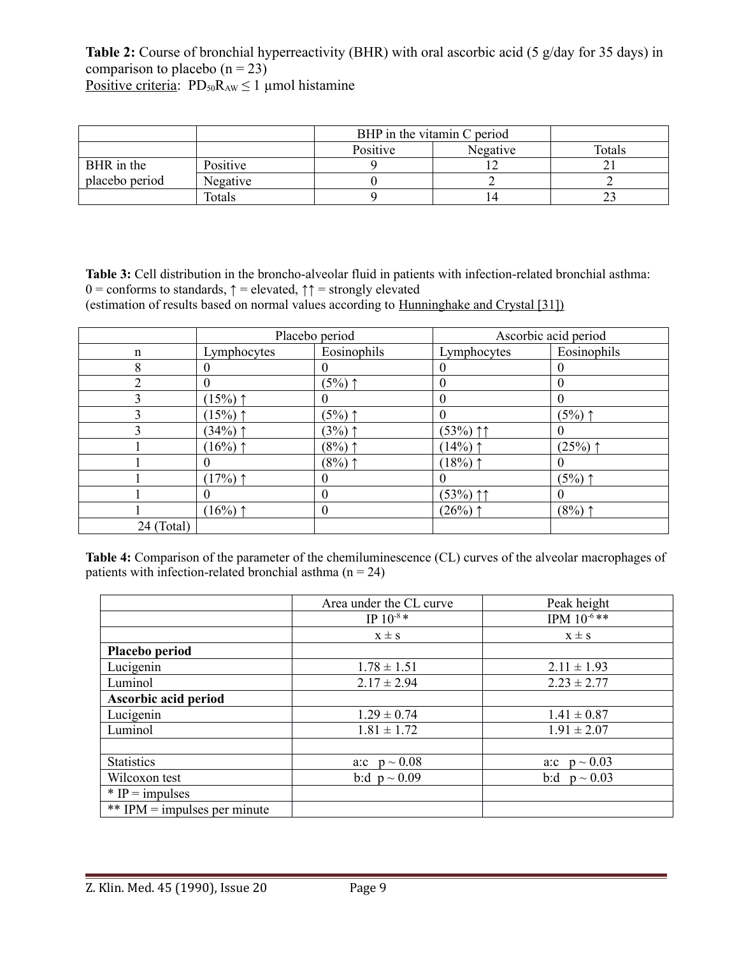**Table 2:** Course of bronchial hyperreactivity (BHR) with oral ascorbic acid (5 g/day for 35 days) in comparison to placebo  $(n = 23)$ Positive criteria:  $PD_{50}R_{AW} \le 1$  µmol histamine

|                |          | BHP in the vitamin C period |          |        |
|----------------|----------|-----------------------------|----------|--------|
|                |          | Positive                    | Negative | Totals |
| BHR in the     | Positive |                             |          |        |
| placebo period | Negative |                             |          |        |
|                | Totals   |                             | 14       |        |

**Table 3:** Cell distribution in the broncho-alveolar fluid in patients with infection-related bronchial asthma: 0 = conforms to standards,  $\uparrow$  = elevated,  $\uparrow$  = strongly elevated (estimation of results based on normal values according to Hunninghake and Crystal [31])

|             | Placebo period |             | Ascorbic acid period |             |
|-------------|----------------|-------------|----------------------|-------------|
| $\mathbf n$ | Lymphocytes    | Eosinophils | Lymphocytes          | Eosinophils |
| 8           | $\theta$       |             |                      |             |
|             | $\theta$       | $(5\%)$ ↑   | $\theta$             | $\theta$    |
|             | $(15\%)$ ↑     |             | $\theta$             |             |
|             | $(15%)$ ↑      | $(5\%)$ ↑   | $\theta$             | $(5\%)$ ↑   |
|             | $(34%)$ ↑      | $(3%)$ ↑    | $(53%)$ 11           | $_{0}$      |
|             | $(16\%)$ ↑     | $(8\%)$ ↑   | $(14\%)$ ↑           | $(25%)$ ↑   |
|             | $\theta$       | $(8\%)$ ↑   | $(18%)$ ↑            |             |
|             | (17%)          |             |                      | $(5%)$ ↑    |
|             | $\theta$       | $\Omega$    | $(53%)$ 11           |             |
|             | $(16\%)$ ↑     | $\theta$    | $(26%)$ ↑            | $(8\%)$ ↑   |
| 24 (Total)  |                |             |                      |             |

**Table 4:** Comparison of the parameter of the chemiluminescence (CL) curves of the alveolar macrophages of patients with infection-related bronchial asthma  $(n = 24)$ 

|                              | Area under the CL curve | Peak height       |
|------------------------------|-------------------------|-------------------|
|                              | $IP 10^{-8}$ *          | IPM $10^{-6}$ **  |
|                              | $x \pm s$               | $x \pm s$         |
| Placebo period               |                         |                   |
| Lucigenin                    | $1.78 \pm 1.51$         | $2.11 \pm 1.93$   |
| Luminol                      | $2.17 \pm 2.94$         | $2.23 \pm 2.77$   |
| Ascorbic acid period         |                         |                   |
| Lucigenin                    | $1.29 \pm 0.74$         | $1.41 \pm 0.87$   |
| Luminol                      | $1.81 \pm 1.72$         | $1.91 \pm 2.07$   |
|                              |                         |                   |
| <b>Statistics</b>            | a:c $p \sim 0.08$       | a:c $p \sim 0.03$ |
| Wilcoxon test                | b:d $p \sim 0.09$       | b:d $p \sim 0.03$ |
| $*$ IP = impulses            |                         |                   |
| ** IPM = impulses per minute |                         |                   |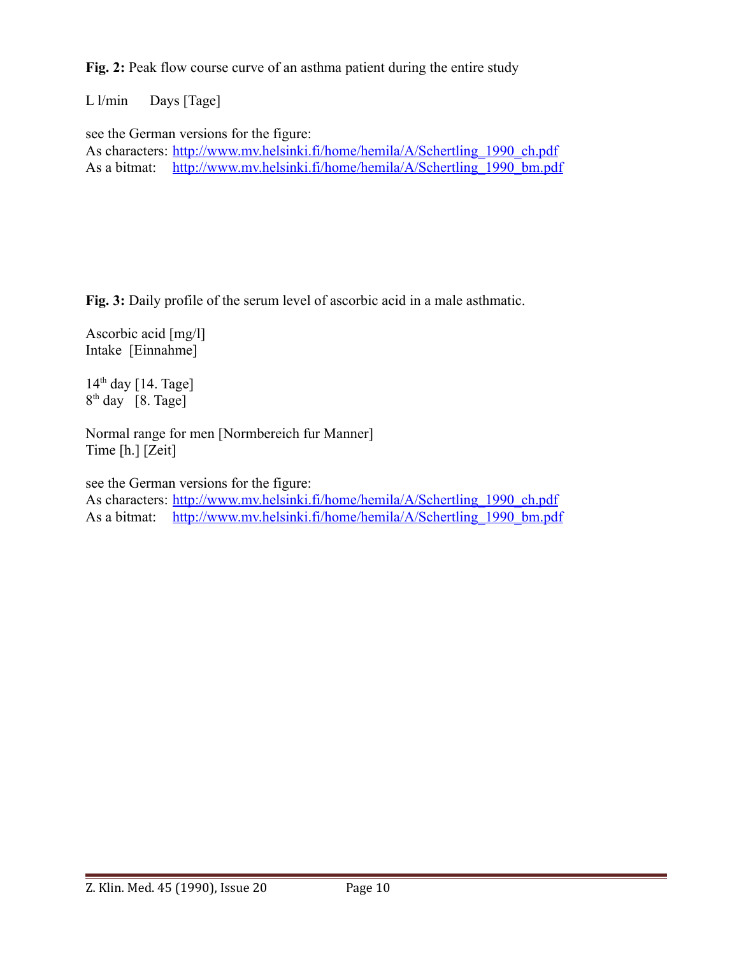**Fig. 2:** Peak flow course curve of an asthma patient during the entire study

L l/min Days [Tage]

see the German versions for the figure:

As characters: http://www.mv.helsinki.fi/home/hemila/A/Schertling 1990 ch.pdf As a bitmat: [http://www.mv.helsinki.fi/home/hemila/A/Schertling\\_1990\\_bm.pdf](http://www.mv.helsinki.fi/home/hemila/A/Schertling_1990_bm.pdf)

**Fig. 3:** Daily profile of the serum level of ascorbic acid in a male asthmatic.

Ascorbic acid [mg/l] Intake [Einnahme]

 $14<sup>th</sup>$  day [14. Tage]  $8<sup>th</sup>$  day [8. Tage]

Normal range for men [Normbereich fur Manner] Time [h.] [Zeit]

see the German versions for the figure:

As characters: [http://www.mv.helsinki.fi/home/hemila/A/Schertling\\_1990\\_ch.pdf](http://www.mv.helsinki.fi/home/hemila/A/Schertling_1990_ch.pdf) As a bitmat: http://www.mv.helsinki.fi/home/hemila/A/Schertling 1990 bm.pdf